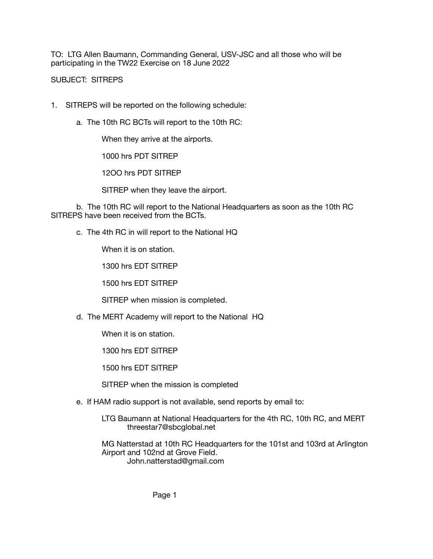TO: LTG Allen Baumann, Commanding General, USV-JSC and all those who will be participating in the TW22 Exercise on 18 June 2022

SUBJECT: SITREPS

- 1. SITREPS will be reported on the following schedule:
	- a. The 10th RC BCTs will report to the 10th RC:

 When they arrive at the airports.

 1000 hrs PDT SITREP

 12OO hrs PDT SITREP

 SITREP when they leave the airport.

b. The 10th RC will report to the National Headquarters as soon as the 10th RC SITREPS have been received from the BCTs.

c. The 4th RC in will report to the National HQ

 When it is on station.

 1300 hrs EDT SITREP

 1500 hrs EDT SITREP

 SITREP when mission is completed.

d. The MERT Academy will report to the National HQ

 When it is on station.

 1300 hrs EDT SITREP

 1500 hrs EDT SITREP

 SITREP when the mission is completed

e. If HAM radio support is not available, send reports by email to:

 LTG Baumann at National Headquarters for the 4th RC, 10th RC, and MERT threestar7@sbcglobal.net

 MG Natterstad at 10th RC Headquarters for the 101st and 103rd at Arlington Airport and 102nd at Grove Field. John.natterstad@gmail.com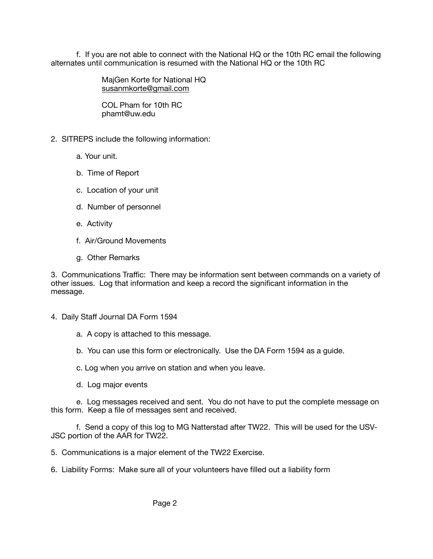f. If you are not able to connect with the National HQ or the 10th RC email the following alternates until communication is resumed with the National HQ or the 10th RC

> MajGen Korte for National HQ [susanmkorte@gmail.com](mailto:susanmkorte@gmail.com)

 COL Pham for 10th RC phamt@uw.edu

- 2. SITREPS include the following information:
	- a. Your unit.
	- b. Time of Report
	- c. Location of your unit
	- d. Number of personnel
	- e. Activity
	- f. Air/Ground Movements
	- g. Other Remarks

3. Communications Traffic: There may be information sent between commands on a variety of other issues. Log that information and keep a record the significant information in the message.

- 4. Daily Staff Journal DA Form 1594
	- a. A copy is attached to this message.
	- b. You can use this form or electronically. Use the DA Form 1594 as a guide.
	- c. Log when you arrive on station and when you leave.
	- d. Log major events

e. Log messages received and sent. You do not have to put the complete message on this form. Keep a file of messages sent and received.

f. Send a copy of this log to MG Natterstad after TW22. This will be used for the USV-JSC portion of the AAR for TW22.

5. Communications is a major element of the TW22 Exercise.

6. Liability Forms: Make sure all of your volunteers have filled out a liability form